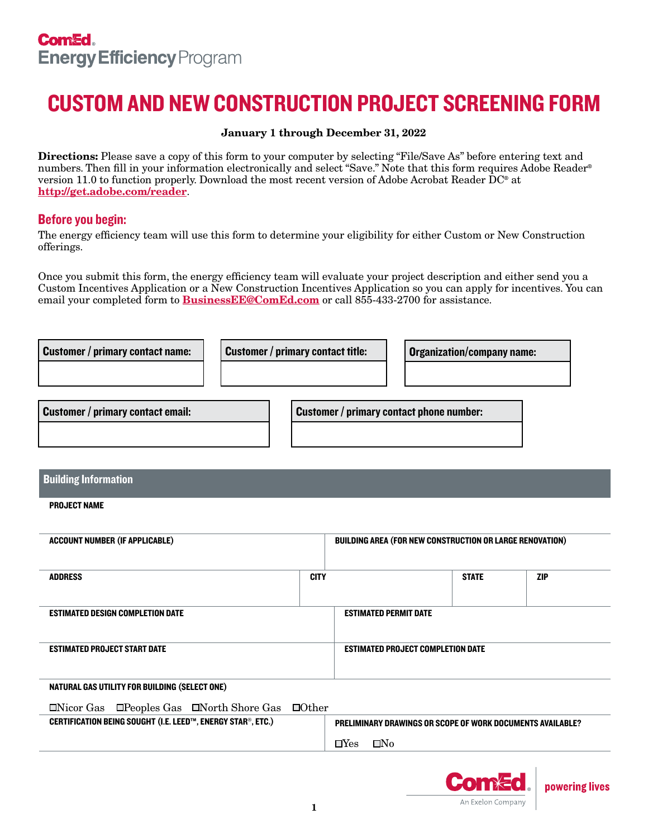## CUSTOM AND NEW CONSTRUCTION PROJECT SCREENING FORM

#### January 1 through December 31, 2022

Directions: Please save a copy of this form to your computer by selecting "File/Save As" before entering text and numbers. Then fill in your information electronically and select "Save." Note that this form requires Adobe Reader® version 11.0 to function properly. Download the most recent version of Adobe Acrobat Reader DC® at <http://get.adobe.com/reader>.

### Before you begin:

The energy efficiency team will use this form to determine your eligibility for either Custom or New Construction offerings.

Once you submit this form, the energy efficiency team will evaluate your project description and either send you a Custom Incentives Application or a New Construction Incentives Application so you can apply for incentives. You can email your completed form to **[BusinessEE@ComEd.com](mailto:BusinessEE%40ComEd.com?subject=)** or call 855-433-2700 for assistance.

| <b>Customer / primary contact name:</b> | <b>Customer / primary contact title:</b> | <b>Organization/company name:</b> |
|-----------------------------------------|------------------------------------------|-----------------------------------|
|                                         |                                          |                                   |
|                                         |                                          |                                   |

| <b>Customer / primary contact email:</b> | Customer / primary contact phone number: |  |
|------------------------------------------|------------------------------------------|--|
|                                          |                                          |  |

#### Building Information

#### PROJECT NAME

| <b>ACCOUNT NUMBER (IF APPLICABLE)</b> | <b>BUILDING AREA (FOR NEW CONSTRUCTION OR LARGE RENOVATION)</b> |                                          |              |            |
|---------------------------------------|-----------------------------------------------------------------|------------------------------------------|--------------|------------|
| <b>ADDRESS</b>                        | <b>CITY</b>                                                     |                                          | <b>STATE</b> | <b>ZIP</b> |
| ESTIMATED DESIGN COMPLETION DATE      |                                                                 | <b>ESTIMATED PERMIT DATE</b>             |              |            |
| <b>ESTIMATED PROJECT START DATE</b>   |                                                                 | <b>ESTIMATED PROJECT COMPLETION DATE</b> |              |            |

#### NATURAL GAS UTILITY FOR BUILDING (SELECT ONE)

#### $\Box$ Nicor Gas  $\Box$ Peoples Gas  $\Box$ North Shore Gas  $\Box$ Other

CERTIFICATION BEING SOUGHT (I.E. LEED™, ENERGY STAR®, ETC.) PRELIMINARY DRAWINGS OR SCOPE OF WORK DOCUMENTS AVAILABLE?

 $\Box$ Yes  $\Box$ No